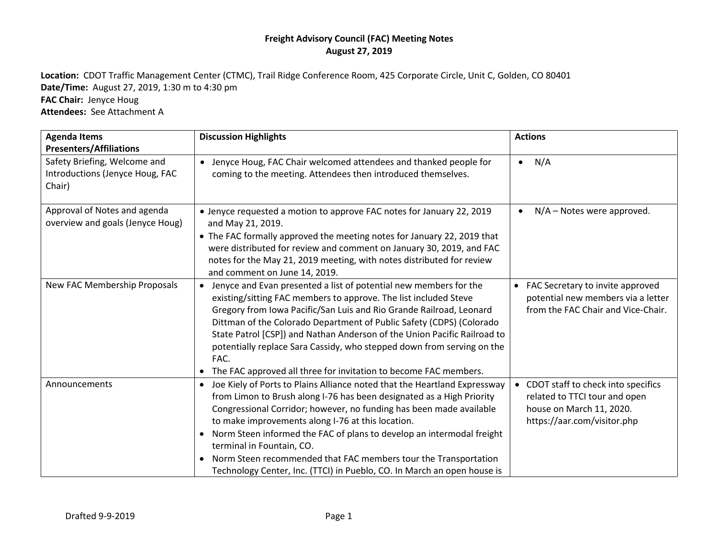**Location:** CDOT Traffic Management Center (CTMC), Trail Ridge Conference Room, 425 Corporate Circle, Unit C, Golden, CO 80401 **Date/Time:** August 27, 2019, 1:30 m to 4:30 pm **FAC Chair:** Jenyce Houg **Attendees:** See Attachment A

| <b>Agenda Items</b><br><b>Presenters/Affiliations</b>                     | <b>Discussion Highlights</b>                                                                                                                                                                                                                                                                                                                                                                                                                                                                                                                                 | <b>Actions</b>                                                                                                                   |
|---------------------------------------------------------------------------|--------------------------------------------------------------------------------------------------------------------------------------------------------------------------------------------------------------------------------------------------------------------------------------------------------------------------------------------------------------------------------------------------------------------------------------------------------------------------------------------------------------------------------------------------------------|----------------------------------------------------------------------------------------------------------------------------------|
| Safety Briefing, Welcome and<br>Introductions (Jenyce Houg, FAC<br>Chair) | Jenyce Houg, FAC Chair welcomed attendees and thanked people for<br>$\bullet$<br>coming to the meeting. Attendees then introduced themselves.                                                                                                                                                                                                                                                                                                                                                                                                                | N/A<br>$\bullet$                                                                                                                 |
| Approval of Notes and agenda<br>overview and goals (Jenyce Houg)          | • Jenyce requested a motion to approve FAC notes for January 22, 2019<br>and May 21, 2019.<br>• The FAC formally approved the meeting notes for January 22, 2019 that<br>were distributed for review and comment on January 30, 2019, and FAC<br>notes for the May 21, 2019 meeting, with notes distributed for review<br>and comment on June 14, 2019.                                                                                                                                                                                                      | $N/A$ – Notes were approved.<br>$\bullet$                                                                                        |
| New FAC Membership Proposals                                              | • Jenyce and Evan presented a list of potential new members for the<br>existing/sitting FAC members to approve. The list included Steve<br>Gregory from Iowa Pacific/San Luis and Rio Grande Railroad, Leonard<br>Dittman of the Colorado Department of Public Safety (CDPS) (Colorado<br>State Patrol [CSP]) and Nathan Anderson of the Union Pacific Railroad to<br>potentially replace Sara Cassidy, who stepped down from serving on the<br>FAC.<br>The FAC approved all three for invitation to become FAC members.<br>$\bullet$                        | • FAC Secretary to invite approved<br>potential new members via a letter<br>from the FAC Chair and Vice-Chair.                   |
| Announcements                                                             | Joe Kiely of Ports to Plains Alliance noted that the Heartland Expressway<br>$\bullet$<br>from Limon to Brush along I-76 has been designated as a High Priority<br>Congressional Corridor; however, no funding has been made available<br>to make improvements along I-76 at this location.<br>Norm Steen informed the FAC of plans to develop an intermodal freight<br>$\bullet$<br>terminal in Fountain, CO.<br>Norm Steen recommended that FAC members tour the Transportation<br>Technology Center, Inc. (TTCI) in Pueblo, CO. In March an open house is | • CDOT staff to check into specifics<br>related to TTCI tour and open<br>house on March 11, 2020.<br>https://aar.com/visitor.php |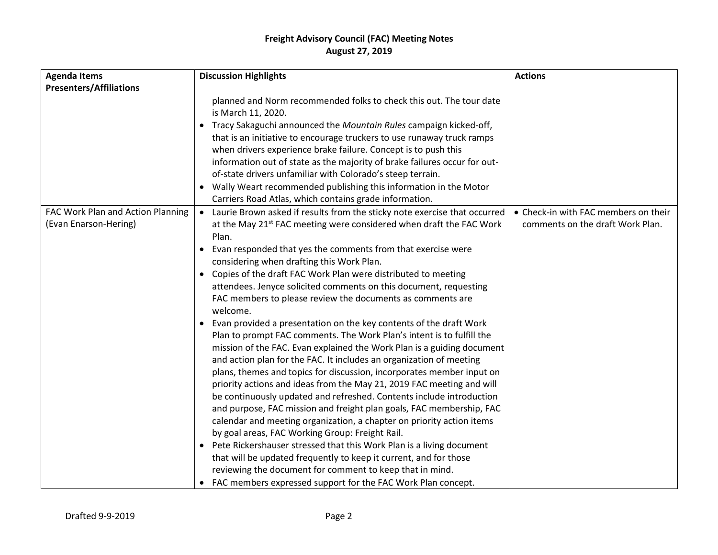| <b>Agenda Items</b>                                        | <b>Discussion Highlights</b>                                                                                                                                                                                                                                                                                                                                                                                                                                                                                                                                                                                                                                                                                                                                                                                                                                                                                                                                                                                                                                                                                                                                                                                                                                                                                                                                                                                                                                                                                             | <b>Actions</b>                                                           |
|------------------------------------------------------------|--------------------------------------------------------------------------------------------------------------------------------------------------------------------------------------------------------------------------------------------------------------------------------------------------------------------------------------------------------------------------------------------------------------------------------------------------------------------------------------------------------------------------------------------------------------------------------------------------------------------------------------------------------------------------------------------------------------------------------------------------------------------------------------------------------------------------------------------------------------------------------------------------------------------------------------------------------------------------------------------------------------------------------------------------------------------------------------------------------------------------------------------------------------------------------------------------------------------------------------------------------------------------------------------------------------------------------------------------------------------------------------------------------------------------------------------------------------------------------------------------------------------------|--------------------------------------------------------------------------|
| <b>Presenters/Affiliations</b>                             |                                                                                                                                                                                                                                                                                                                                                                                                                                                                                                                                                                                                                                                                                                                                                                                                                                                                                                                                                                                                                                                                                                                                                                                                                                                                                                                                                                                                                                                                                                                          |                                                                          |
|                                                            | planned and Norm recommended folks to check this out. The tour date<br>is March 11, 2020.<br>Tracy Sakaguchi announced the Mountain Rules campaign kicked-off,<br>that is an initiative to encourage truckers to use runaway truck ramps<br>when drivers experience brake failure. Concept is to push this<br>information out of state as the majority of brake failures occur for out-<br>of-state drivers unfamiliar with Colorado's steep terrain.<br>Wally Weart recommended publishing this information in the Motor<br>Carriers Road Atlas, which contains grade information.                                                                                                                                                                                                                                                                                                                                                                                                                                                                                                                                                                                                                                                                                                                                                                                                                                                                                                                                      |                                                                          |
| FAC Work Plan and Action Planning<br>(Evan Enarson-Hering) | • Laurie Brown asked if results from the sticky note exercise that occurred<br>at the May 21 <sup>st</sup> FAC meeting were considered when draft the FAC Work<br>Plan.<br>Evan responded that yes the comments from that exercise were<br>considering when drafting this Work Plan.<br>Copies of the draft FAC Work Plan were distributed to meeting<br>$\bullet$<br>attendees. Jenyce solicited comments on this document, requesting<br>FAC members to please review the documents as comments are<br>welcome.<br>Evan provided a presentation on the key contents of the draft Work<br>Plan to prompt FAC comments. The Work Plan's intent is to fulfill the<br>mission of the FAC. Evan explained the Work Plan is a guiding document<br>and action plan for the FAC. It includes an organization of meeting<br>plans, themes and topics for discussion, incorporates member input on<br>priority actions and ideas from the May 21, 2019 FAC meeting and will<br>be continuously updated and refreshed. Contents include introduction<br>and purpose, FAC mission and freight plan goals, FAC membership, FAC<br>calendar and meeting organization, a chapter on priority action items<br>by goal areas, FAC Working Group: Freight Rail.<br>Pete Rickershauser stressed that this Work Plan is a living document<br>that will be updated frequently to keep it current, and for those<br>reviewing the document for comment to keep that in mind.<br>FAC members expressed support for the FAC Work Plan concept. | • Check-in with FAC members on their<br>comments on the draft Work Plan. |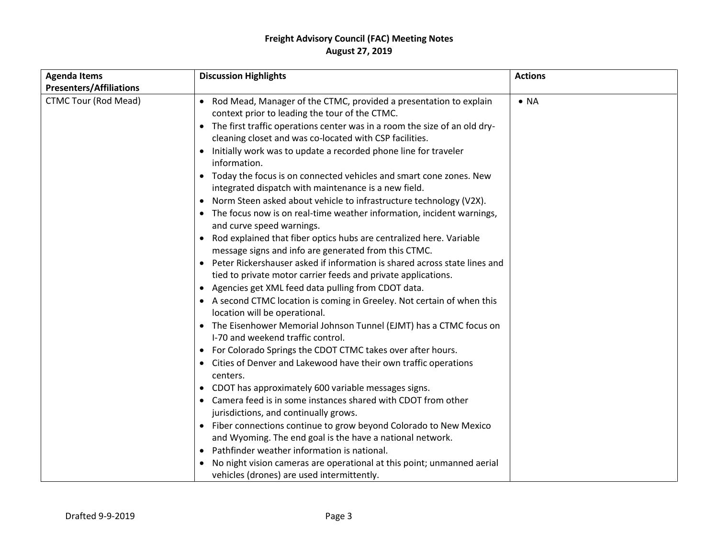| <b>Presenters/Affiliations</b><br><b>CTMC Tour (Rod Mead)</b><br>• Rod Mead, Manager of the CTMC, provided a presentation to explain<br>$\bullet$ NA<br>context prior to leading the tour of the CTMC.                                                                                                                                                                                                                                                                                                                                                                                                                                                                                                                                                                                                                                                                                                                                                                                                                                                                                                                                                                                                                                                                                                                                                                                                                                                                                                                                                                                                                                                                                                                                    |  |
|-------------------------------------------------------------------------------------------------------------------------------------------------------------------------------------------------------------------------------------------------------------------------------------------------------------------------------------------------------------------------------------------------------------------------------------------------------------------------------------------------------------------------------------------------------------------------------------------------------------------------------------------------------------------------------------------------------------------------------------------------------------------------------------------------------------------------------------------------------------------------------------------------------------------------------------------------------------------------------------------------------------------------------------------------------------------------------------------------------------------------------------------------------------------------------------------------------------------------------------------------------------------------------------------------------------------------------------------------------------------------------------------------------------------------------------------------------------------------------------------------------------------------------------------------------------------------------------------------------------------------------------------------------------------------------------------------------------------------------------------|--|
|                                                                                                                                                                                                                                                                                                                                                                                                                                                                                                                                                                                                                                                                                                                                                                                                                                                                                                                                                                                                                                                                                                                                                                                                                                                                                                                                                                                                                                                                                                                                                                                                                                                                                                                                           |  |
| • The first traffic operations center was in a room the size of an old dry-<br>cleaning closet and was co-located with CSP facilities.<br>• Initially work was to update a recorded phone line for traveler<br>information.<br>• Today the focus is on connected vehicles and smart cone zones. New<br>integrated dispatch with maintenance is a new field.<br>Norm Steen asked about vehicle to infrastructure technology (V2X).<br>• The focus now is on real-time weather information, incident warnings,<br>and curve speed warnings.<br>• Rod explained that fiber optics hubs are centralized here. Variable<br>message signs and info are generated from this CTMC.<br>• Peter Rickershauser asked if information is shared across state lines and<br>tied to private motor carrier feeds and private applications.<br>• Agencies get XML feed data pulling from CDOT data.<br>• A second CTMC location is coming in Greeley. Not certain of when this<br>location will be operational.<br>• The Eisenhower Memorial Johnson Tunnel (EJMT) has a CTMC focus on<br>I-70 and weekend traffic control.<br>• For Colorado Springs the CDOT CTMC takes over after hours.<br>• Cities of Denver and Lakewood have their own traffic operations<br>centers.<br>• CDOT has approximately 600 variable messages signs.<br>• Camera feed is in some instances shared with CDOT from other<br>jurisdictions, and continually grows.<br>• Fiber connections continue to grow beyond Colorado to New Mexico<br>and Wyoming. The end goal is the have a national network.<br>Pathfinder weather information is national.<br>No night vision cameras are operational at this point; unmanned aerial<br>vehicles (drones) are used intermittently. |  |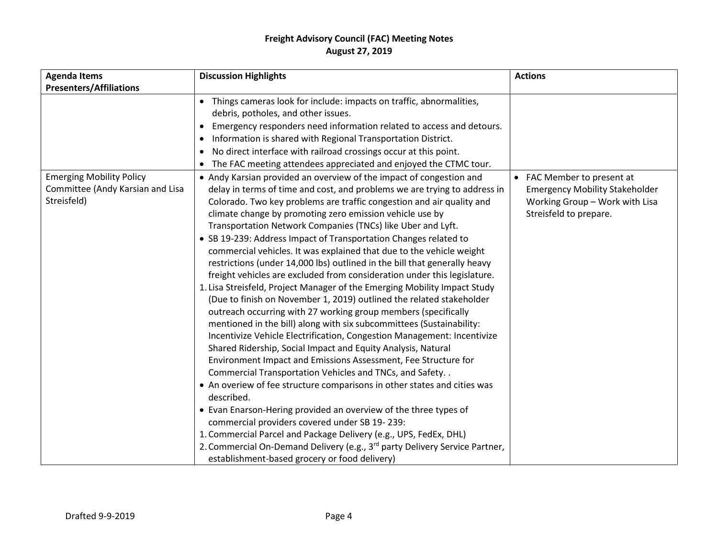| <b>Agenda Items</b>                                                                | <b>Discussion Highlights</b>                                                                                                                                                                                                                                                                                                                                                                                                                                                                                                                                                                                                                                                                                                                                                                                                                                                                                                                                                                                                                                                                                                                                                                                                                                                                                                                                                                                                                                                                                                                                                                                                                                        | <b>Actions</b>                                                                                                                  |
|------------------------------------------------------------------------------------|---------------------------------------------------------------------------------------------------------------------------------------------------------------------------------------------------------------------------------------------------------------------------------------------------------------------------------------------------------------------------------------------------------------------------------------------------------------------------------------------------------------------------------------------------------------------------------------------------------------------------------------------------------------------------------------------------------------------------------------------------------------------------------------------------------------------------------------------------------------------------------------------------------------------------------------------------------------------------------------------------------------------------------------------------------------------------------------------------------------------------------------------------------------------------------------------------------------------------------------------------------------------------------------------------------------------------------------------------------------------------------------------------------------------------------------------------------------------------------------------------------------------------------------------------------------------------------------------------------------------------------------------------------------------|---------------------------------------------------------------------------------------------------------------------------------|
| <b>Presenters/Affiliations</b>                                                     |                                                                                                                                                                                                                                                                                                                                                                                                                                                                                                                                                                                                                                                                                                                                                                                                                                                                                                                                                                                                                                                                                                                                                                                                                                                                                                                                                                                                                                                                                                                                                                                                                                                                     |                                                                                                                                 |
|                                                                                    | • Things cameras look for include: impacts on traffic, abnormalities,<br>debris, potholes, and other issues.<br>Emergency responders need information related to access and detours.<br>$\bullet$<br>Information is shared with Regional Transportation District.<br>No direct interface with railroad crossings occur at this point.<br>The FAC meeting attendees appreciated and enjoyed the CTMC tour.<br>$\bullet$                                                                                                                                                                                                                                                                                                                                                                                                                                                                                                                                                                                                                                                                                                                                                                                                                                                                                                                                                                                                                                                                                                                                                                                                                                              |                                                                                                                                 |
| <b>Emerging Mobility Policy</b><br>Committee (Andy Karsian and Lisa<br>Streisfeld) | • Andy Karsian provided an overview of the impact of congestion and<br>delay in terms of time and cost, and problems we are trying to address in<br>Colorado. Two key problems are traffic congestion and air quality and<br>climate change by promoting zero emission vehicle use by<br>Transportation Network Companies (TNCs) like Uber and Lyft.<br>• SB 19-239: Address Impact of Transportation Changes related to<br>commercial vehicles. It was explained that due to the vehicle weight<br>restrictions (under 14,000 lbs) outlined in the bill that generally heavy<br>freight vehicles are excluded from consideration under this legislature.<br>1. Lisa Streisfeld, Project Manager of the Emerging Mobility Impact Study<br>(Due to finish on November 1, 2019) outlined the related stakeholder<br>outreach occurring with 27 working group members (specifically<br>mentioned in the bill) along with six subcommittees (Sustainability:<br>Incentivize Vehicle Electrification, Congestion Management: Incentivize<br>Shared Ridership, Social Impact and Equity Analysis, Natural<br>Environment Impact and Emissions Assessment, Fee Structure for<br>Commercial Transportation Vehicles and TNCs, and Safety. .<br>• An overiew of fee structure comparisons in other states and cities was<br>described.<br>• Evan Enarson-Hering provided an overview of the three types of<br>commercial providers covered under SB 19-239:<br>1. Commercial Parcel and Package Delivery (e.g., UPS, FedEx, DHL)<br>2. Commercial On-Demand Delivery (e.g., 3 <sup>rd</sup> party Delivery Service Partner,<br>establishment-based grocery or food delivery) | • FAC Member to present at<br><b>Emergency Mobility Stakeholder</b><br>Working Group - Work with Lisa<br>Streisfeld to prepare. |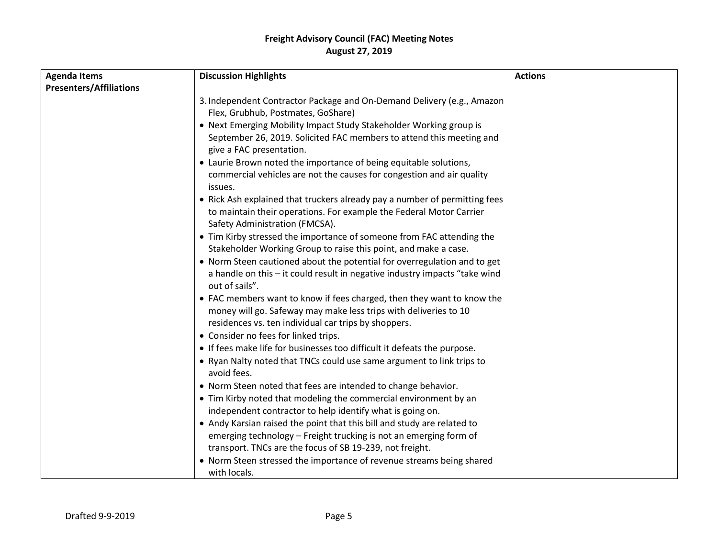| <b>Agenda Items</b>            | <b>Discussion Highlights</b>                                                                                                                                                                                                                                                           | <b>Actions</b> |
|--------------------------------|----------------------------------------------------------------------------------------------------------------------------------------------------------------------------------------------------------------------------------------------------------------------------------------|----------------|
| <b>Presenters/Affiliations</b> |                                                                                                                                                                                                                                                                                        |                |
|                                | 3. Independent Contractor Package and On-Demand Delivery (e.g., Amazon<br>Flex, Grubhub, Postmates, GoShare)<br>• Next Emerging Mobility Impact Study Stakeholder Working group is<br>September 26, 2019. Solicited FAC members to attend this meeting and<br>give a FAC presentation. |                |
|                                | • Laurie Brown noted the importance of being equitable solutions,<br>commercial vehicles are not the causes for congestion and air quality<br>issues.<br>• Rick Ash explained that truckers already pay a number of permitting fees                                                    |                |
|                                | to maintain their operations. For example the Federal Motor Carrier<br>Safety Administration (FMCSA).<br>• Tim Kirby stressed the importance of someone from FAC attending the                                                                                                         |                |
|                                | Stakeholder Working Group to raise this point, and make a case.<br>• Norm Steen cautioned about the potential for overregulation and to get                                                                                                                                            |                |
|                                | a handle on this - it could result in negative industry impacts "take wind<br>out of sails".                                                                                                                                                                                           |                |
|                                | • FAC members want to know if fees charged, then they want to know the<br>money will go. Safeway may make less trips with deliveries to 10<br>residences vs. ten individual car trips by shoppers.                                                                                     |                |
|                                | • Consider no fees for linked trips.                                                                                                                                                                                                                                                   |                |
|                                | • If fees make life for businesses too difficult it defeats the purpose.<br>• Ryan Nalty noted that TNCs could use same argument to link trips to<br>avoid fees.                                                                                                                       |                |
|                                | • Norm Steen noted that fees are intended to change behavior.<br>• Tim Kirby noted that modeling the commercial environment by an<br>independent contractor to help identify what is going on.                                                                                         |                |
|                                | • Andy Karsian raised the point that this bill and study are related to<br>emerging technology - Freight trucking is not an emerging form of<br>transport. TNCs are the focus of SB 19-239, not freight.                                                                               |                |
|                                | • Norm Steen stressed the importance of revenue streams being shared<br>with locals.                                                                                                                                                                                                   |                |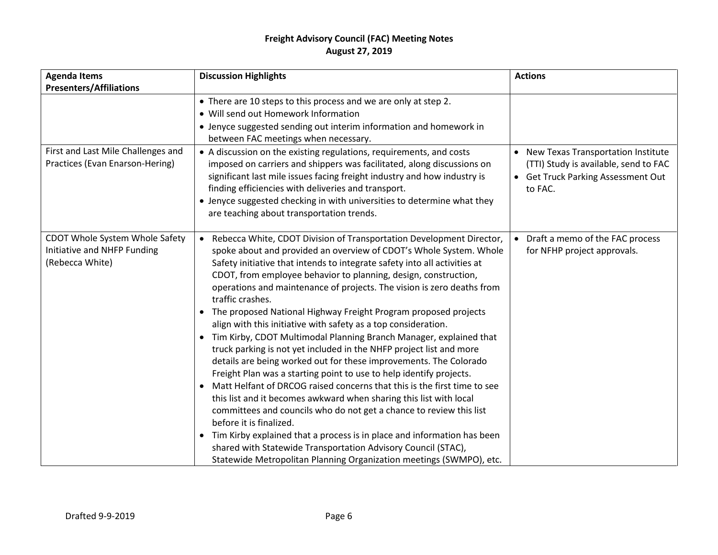| <b>Agenda Items</b><br><b>Presenters/Affiliations</b>                            | <b>Discussion Highlights</b>                                                                                                                                                                                                                                                                                                                                                                                                                                                                                                                                                                                                                                                                                                                                                                                                                                                                                                                                                                                                                                                                                                                                                                                                                                                                                     | <b>Actions</b>                                                                                                                 |
|----------------------------------------------------------------------------------|------------------------------------------------------------------------------------------------------------------------------------------------------------------------------------------------------------------------------------------------------------------------------------------------------------------------------------------------------------------------------------------------------------------------------------------------------------------------------------------------------------------------------------------------------------------------------------------------------------------------------------------------------------------------------------------------------------------------------------------------------------------------------------------------------------------------------------------------------------------------------------------------------------------------------------------------------------------------------------------------------------------------------------------------------------------------------------------------------------------------------------------------------------------------------------------------------------------------------------------------------------------------------------------------------------------|--------------------------------------------------------------------------------------------------------------------------------|
|                                                                                  | • There are 10 steps to this process and we are only at step 2.<br>· Will send out Homework Information<br>• Jenyce suggested sending out interim information and homework in<br>between FAC meetings when necessary.                                                                                                                                                                                                                                                                                                                                                                                                                                                                                                                                                                                                                                                                                                                                                                                                                                                                                                                                                                                                                                                                                            |                                                                                                                                |
| First and Last Mile Challenges and<br>Practices (Evan Enarson-Hering)            | • A discussion on the existing regulations, requirements, and costs<br>imposed on carriers and shippers was facilitated, along discussions on<br>significant last mile issues facing freight industry and how industry is<br>finding efficiencies with deliveries and transport.<br>• Jenyce suggested checking in with universities to determine what they<br>are teaching about transportation trends.                                                                                                                                                                                                                                                                                                                                                                                                                                                                                                                                                                                                                                                                                                                                                                                                                                                                                                         | • New Texas Transportation Institute<br>(TTI) Study is available, send to FAC<br>• Get Truck Parking Assessment Out<br>to FAC. |
| CDOT Whole System Whole Safety<br>Initiative and NHFP Funding<br>(Rebecca White) | • Rebecca White, CDOT Division of Transportation Development Director,<br>spoke about and provided an overview of CDOT's Whole System. Whole<br>Safety initiative that intends to integrate safety into all activities at<br>CDOT, from employee behavior to planning, design, construction,<br>operations and maintenance of projects. The vision is zero deaths from<br>traffic crashes.<br>• The proposed National Highway Freight Program proposed projects<br>align with this initiative with safety as a top consideration.<br>• Tim Kirby, CDOT Multimodal Planning Branch Manager, explained that<br>truck parking is not yet included in the NHFP project list and more<br>details are being worked out for these improvements. The Colorado<br>Freight Plan was a starting point to use to help identify projects.<br>Matt Helfant of DRCOG raised concerns that this is the first time to see<br>this list and it becomes awkward when sharing this list with local<br>committees and councils who do not get a chance to review this list<br>before it is finalized.<br>Tim Kirby explained that a process is in place and information has been<br>$\bullet$<br>shared with Statewide Transportation Advisory Council (STAC),<br>Statewide Metropolitan Planning Organization meetings (SWMPO), etc. | • Draft a memo of the FAC process<br>for NFHP project approvals.                                                               |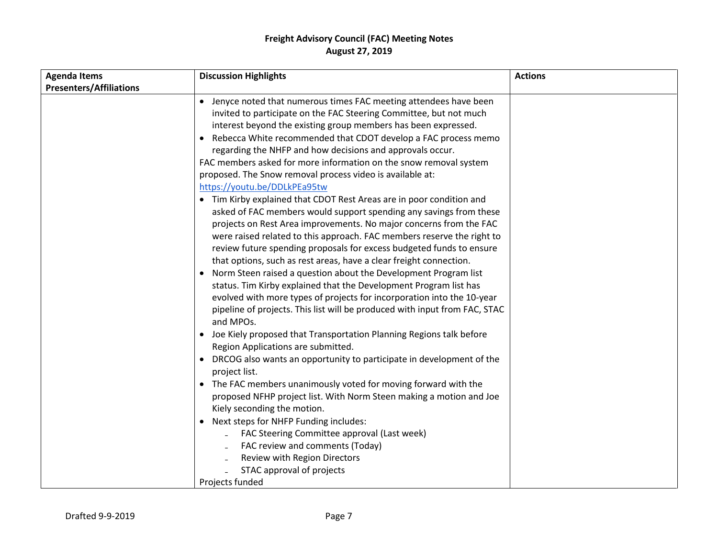| <b>Agenda Items</b>            | <b>Discussion Highlights</b>                                                                                                                                                                                                                                                                                                                                                                                                                                                                                                                                                                                                                                                                                                                                                                                                                                                                                                                                                                                                                                                                                                                                                                                                                                                                                                                                                                                                                                                                                                                                                                                                                                                                                                                                                                                                                | <b>Actions</b> |
|--------------------------------|---------------------------------------------------------------------------------------------------------------------------------------------------------------------------------------------------------------------------------------------------------------------------------------------------------------------------------------------------------------------------------------------------------------------------------------------------------------------------------------------------------------------------------------------------------------------------------------------------------------------------------------------------------------------------------------------------------------------------------------------------------------------------------------------------------------------------------------------------------------------------------------------------------------------------------------------------------------------------------------------------------------------------------------------------------------------------------------------------------------------------------------------------------------------------------------------------------------------------------------------------------------------------------------------------------------------------------------------------------------------------------------------------------------------------------------------------------------------------------------------------------------------------------------------------------------------------------------------------------------------------------------------------------------------------------------------------------------------------------------------------------------------------------------------------------------------------------------------|----------------|
| <b>Presenters/Affiliations</b> |                                                                                                                                                                                                                                                                                                                                                                                                                                                                                                                                                                                                                                                                                                                                                                                                                                                                                                                                                                                                                                                                                                                                                                                                                                                                                                                                                                                                                                                                                                                                                                                                                                                                                                                                                                                                                                             |                |
|                                | • Jenyce noted that numerous times FAC meeting attendees have been<br>invited to participate on the FAC Steering Committee, but not much<br>interest beyond the existing group members has been expressed.<br>Rebecca White recommended that CDOT develop a FAC process memo<br>regarding the NHFP and how decisions and approvals occur.<br>FAC members asked for more information on the snow removal system<br>proposed. The Snow removal process video is available at:<br>https://youtu.be/DDLkPEa95tw<br>• Tim Kirby explained that CDOT Rest Areas are in poor condition and<br>asked of FAC members would support spending any savings from these<br>projects on Rest Area improvements. No major concerns from the FAC<br>were raised related to this approach. FAC members reserve the right to<br>review future spending proposals for excess budgeted funds to ensure<br>that options, such as rest areas, have a clear freight connection.<br>Norm Steen raised a question about the Development Program list<br>status. Tim Kirby explained that the Development Program list has<br>evolved with more types of projects for incorporation into the 10-year<br>pipeline of projects. This list will be produced with input from FAC, STAC<br>and MPOs.<br>Joe Kiely proposed that Transportation Planning Regions talk before<br>Region Applications are submitted.<br>DRCOG also wants an opportunity to participate in development of the<br>project list.<br>• The FAC members unanimously voted for moving forward with the<br>proposed NFHP project list. With Norm Steen making a motion and Joe<br>Kiely seconding the motion.<br>Next steps for NHFP Funding includes:<br>FAC Steering Committee approval (Last week)<br>FAC review and comments (Today)<br>Review with Region Directors<br>STAC approval of projects |                |
|                                | Projects funded                                                                                                                                                                                                                                                                                                                                                                                                                                                                                                                                                                                                                                                                                                                                                                                                                                                                                                                                                                                                                                                                                                                                                                                                                                                                                                                                                                                                                                                                                                                                                                                                                                                                                                                                                                                                                             |                |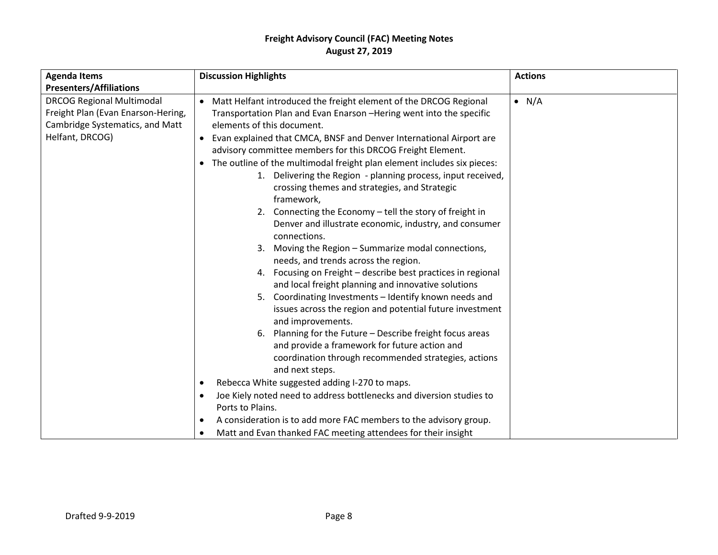| <b>Agenda Items</b>                                                                                                                                            | <b>Discussion Highlights</b>                                                                                                                                                                                                                                                                                                                                                                                                                                                                                                                                                                                                                                                                                                                                                                                                                                                                                                                                                                                                                                                                                                                                                                                                                                                                                                                                                                               | <b>Actions</b> |
|----------------------------------------------------------------------------------------------------------------------------------------------------------------|------------------------------------------------------------------------------------------------------------------------------------------------------------------------------------------------------------------------------------------------------------------------------------------------------------------------------------------------------------------------------------------------------------------------------------------------------------------------------------------------------------------------------------------------------------------------------------------------------------------------------------------------------------------------------------------------------------------------------------------------------------------------------------------------------------------------------------------------------------------------------------------------------------------------------------------------------------------------------------------------------------------------------------------------------------------------------------------------------------------------------------------------------------------------------------------------------------------------------------------------------------------------------------------------------------------------------------------------------------------------------------------------------------|----------------|
| <b>Presenters/Affiliations</b><br><b>DRCOG Regional Multimodal</b><br>Freight Plan (Evan Enarson-Hering,<br>Cambridge Systematics, and Matt<br>Helfant, DRCOG) | • Matt Helfant introduced the freight element of the DRCOG Regional<br>Transportation Plan and Evan Enarson -Hering went into the specific<br>elements of this document.<br>Evan explained that CMCA, BNSF and Denver International Airport are<br>$\bullet$<br>advisory committee members for this DRCOG Freight Element.<br>The outline of the multimodal freight plan element includes six pieces:<br>1. Delivering the Region - planning process, input received,<br>crossing themes and strategies, and Strategic<br>framework,<br>2. Connecting the Economy - tell the story of freight in<br>Denver and illustrate economic, industry, and consumer<br>connections.<br>Moving the Region - Summarize modal connections,<br>3.<br>needs, and trends across the region.<br>Focusing on Freight - describe best practices in regional<br>4.<br>and local freight planning and innovative solutions<br>Coordinating Investments - Identify known needs and<br>5.<br>issues across the region and potential future investment<br>and improvements.<br>Planning for the Future - Describe freight focus areas<br>6.<br>and provide a framework for future action and<br>coordination through recommended strategies, actions<br>and next steps.<br>Rebecca White suggested adding I-270 to maps.<br>$\bullet$<br>Joe Kiely noted need to address bottlenecks and diversion studies to<br>Ports to Plains. | $\bullet$ N/A  |
|                                                                                                                                                                | A consideration is to add more FAC members to the advisory group.<br>Matt and Evan thanked FAC meeting attendees for their insight                                                                                                                                                                                                                                                                                                                                                                                                                                                                                                                                                                                                                                                                                                                                                                                                                                                                                                                                                                                                                                                                                                                                                                                                                                                                         |                |